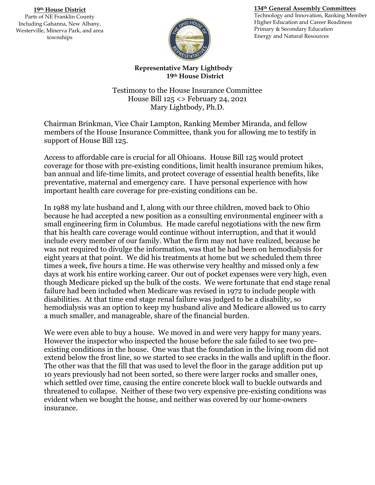## **134th General Assembly Committees**

**19th House District** Parts of NE Franklin County Including Gahanna, New Albany, Westerville, Minerva Park, and area townships



Technology and Innovation, Ranking Member Higher Education and Career Readiness Primary & Secondary Education Energy and Natural Resources

**Representative Mary Lightbody 19th House District**

Testimony to the House Insurance Committee House Bill 125 <> February 24, 2021 Mary Lightbody, Ph.D.

Chairman Brinkman, Vice Chair Lampton, Ranking Member Miranda, and fellow members of the House Insurance Committee, thank you for allowing me to testify in support of House Bill 125.

Access to affordable care is crucial for all Ohioans. House Bill 125 would protect coverage for those with pre-existing conditions, limit health insurance premium hikes, ban annual and life-time limits, and protect coverage of essential health benefits, like preventative, maternal and emergency care. I have personal experience with how important health care coverage for pre-existing conditions can be.

In 1988 my late husband and I, along with our three children, moved back to Ohio because he had accepted a new position as a consulting environmental engineer with a small engineering firm in Columbus. He made careful negotiations with the new firm that his health care coverage would continue without interruption, and that it would include every member of our family. What the firm may not have realized, because he was not required to divulge the information, was that he had been on hemodialysis for eight years at that point. We did his treatments at home but we scheduled them three times a week, five hours a time. He was otherwise very healthy and missed only a few days at work his entire working career. Our out of pocket expenses were very high, even though Medicare picked up the bulk of the costs. We were fortunate that end stage renal failure had been included when Medicare was revised in 1972 to include people with disabilities. At that time end stage renal failure was judged to be a disability, so hemodialysis was an option to keep my husband alive and Medicare allowed us to carry a much smaller, and manageable, share of the financial burden.

We were even able to buy a house. We moved in and were very happy for many years. However the inspector who inspected the house before the sale failed to see two preexisting conditions in the house. One was that the foundation in the living room did not extend below the frost line, so we started to see cracks in the walls and uplift in the floor. The other was that the fill that was used to level the floor in the garage addition put up 10 years previously had not been sorted, so there were larger rocks and smaller ones, which settled over time, causing the entire concrete block wall to buckle outwards and threatened to collapse. Neither of these two very expensive pre-existing conditions was evident when we bought the house, and neither was covered by our home-owners insurance.